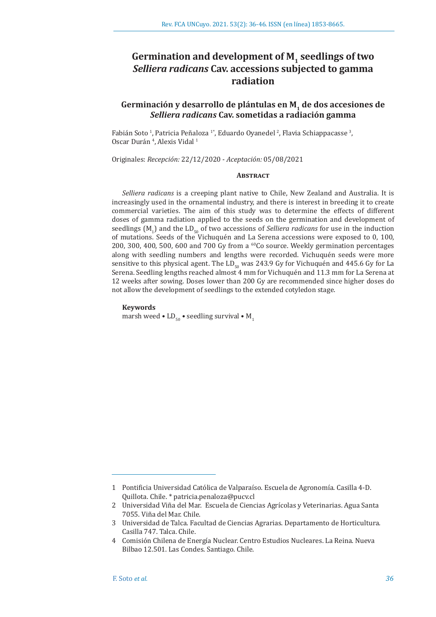# Germination and development of M<sub>1</sub> seedlings of two *Selliera radicans* **Cav. accessions subjected to gamma radiation**

# Germinación y desarrollo de plántulas en M<sub>1</sub> de dos accesiones de *Selliera radicans* **Cav. sometidas a radiación gamma**

Fabián Soto <sup>1</sup>, Patricia Peñaloza <sup>1</sup>°, Eduardo Oyanedel <sup>2</sup>, Flavia Schiappacasse <sup>3</sup>, Oscar Durán<sup>4</sup>, Alexis Vidal<sup>1</sup>

Originales: *Recepción:* 22/12/2020 - *Aceptación:* 05/08/2021

# **ABSTRACT**

*Selliera radicans* is a creeping plant native to Chile, New Zealand and Australia. It is increasingly used in the ornamental industry, and there is interest in breeding it to create commercial varieties. The aim of this study was to determine the effects of different doses of gamma radiation applied to the seeds on the germination and development of seedlings  $(M_1)$  and the  $LD_{50}$  of two accessions of *Selliera radicans* for use in the induction of mutations. Seeds of the Vichuquén and La Serena accessions were exposed to 0, 100, 200, 300, 400, 500, 600 and 700 Gy from a  $^{60}$ Co source. Weekly germination percentages along with seedling numbers and lengths were recorded. Vichuquén seeds were more sensitive to this physical agent. The LD<sub>50</sub> was 243.9 Gy for Vichuquén and 445.6 Gy for La Serena. Seedling lengths reached almost 4 mm for Vichuquén and 11.3 mm for La Serena at 12 weeks after sowing. Doses lower than 200 Gy are recommended since higher doses do not allow the development of seedlings to the extended cotyledon stage.

#### **Keywords**

marsh weed •  $LD_{50}$  • seedling survival •  $M_1$ 

<sup>1</sup> Pontificia Universidad Católica de Valparaíso. Escuela de Agronomía. Casilla 4-D. Quillota. Chile. \* patricia.penaloza@pucv.cl

<sup>2</sup> Universidad Viña del Mar. Escuela de Ciencias Agrícolas y Veterinarias. Agua Santa 7055. Viña del Mar. Chile.

<sup>3</sup> Universidad de Talca. Facultad de Ciencias Agrarias. Departamento de Horticultura. Casilla 747. Talca. Chile.

<sup>4</sup> Comisión Chilena de Energía Nuclear. Centro Estudios Nucleares. La Reina. Nueva Bilbao 12.501. Las Condes. Santiago. Chile.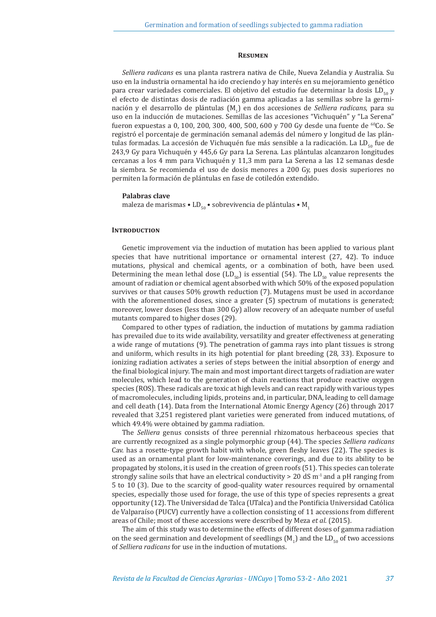#### **Resumen**

*Selliera radicans* es una planta rastrera nativa de Chile, Nueva Zelandia y Australia. Su uso en la industria ornamental ha ido creciendo y hay interés en su mejoramiento genético para crear variedades comerciales. El objetivo del estudio fue determinar la dosis LD $_{50}$  y el efecto de distintas dosis de radiación gamma aplicadas a las semillas sobre la germinación y el desarrollo de plántulas (M<sub>1</sub>) en dos accesiones de *Selliera radicans*, para su uso en la inducción de mutaciones. Semillas de las accesiones "Vichuquén" y "La Serena" fueron expuestas a 0, 100, 200, 300, 400, 500, 600 y 700 Gy desde una fuente de <sup>60</sup>Co. Se registró el porcentaje de germinación semanal además del número y longitud de las plántulas formadas. La accesión de Vichuquén fue más sensible a la radicación. La  $LD_{\rm c0}$  fue de 243,9 Gy para Vichuquén y 445,6 Gy para La Serena. Las plántulas alcanzaron longitudes cercanas a los 4 mm para Vichuquén y 11,3 mm para La Serena a las 12 semanas desde la siembra. Se recomienda el uso de dosis menores a 200 Gy, pues dosis superiores no permiten la formación de plántulas en fase de cotiledón extendido.

#### **Palabras clave**

maleza de marismas • LD $_{50}$  • sobrevivencia de plántulas • M<sub>1</sub>

# **INTRODUCTION**

Genetic improvement via the induction of mutation has been applied to various plant species that have nutritional importance or ornamental interest (27, 42). To induce mutations, physical and chemical agents, or a combination of both, have been used. Determining the mean lethal dose  $(LD_{50})$  is essential (54). The LD<sub>50</sub> value represents the amount of radiation or chemical agent absorbed with which 50% of the exposed population survives or that causes 50% growth reduction (7). Mutagens must be used in accordance with the aforementioned doses, since a greater (5) spectrum of mutations is generated; moreover, lower doses (less than 300 Gy) allow recovery of an adequate number of useful mutants compared to higher doses (29).

Compared to other types of radiation, the induction of mutations by gamma radiation has prevailed due to its wide availability, versatility and greater effectiveness at generating a wide range of mutations (9). The penetration of gamma rays into plant tissues is strong and uniform, which results in its high potential for plant breeding (28, 33). Exposure to ionizing radiation activates a series of steps between the initial absorption of energy and the final biological injury. The main and most important direct targets of radiation are water molecules, which lead to the generation of chain reactions that produce reactive oxygen species (ROS). These radicals are toxic at high levels and can react rapidly with various types of macromolecules, including lipids, proteins and, in particular, DNA, leading to cell damage and cell death (14). Data from the International Atomic Energy Agency (26) through 2017 revealed that 3,251 registered plant varieties were generated from induced mutations, of which 49.4% were obtained by gamma radiation.

The *Selliera* genus consists of three perennial rhizomatous herbaceous species that are currently recognized as a single polymorphic group (44). The species *Selliera radicans*  Cav. has a rosette-type growth habit with whole, green fleshy leaves (22). The species is used as an ornamental plant for low-maintenance coverings, and due to its ability to be propagated by stolons, it is used in the creation of green roofs (51). This species can tolerate strongly saline soils that have an electrical conductivity  $> 20$  dS m<sup>-1</sup> and a pH ranging from 5 to 10 (3). Due to the scarcity of good-quality water resources required by ornamental species, especially those used for forage, the use of this type of species represents a great opportunity (12). The Universidad de Talca (UTalca) and the Pontificia Universidad Católica de Valparaíso (PUCV) currently have a collection consisting of 11 accessions from different areas of Chile; most of these accessions were described by Meza *et al*. (2015).

The aim of this study was to determine the effects of different doses of gamma radiation on the seed germination and development of seedlings  $(M_1)$  and the  $LD_{50}$  of two accessions of *Selliera radicans* for use in the induction of mutations.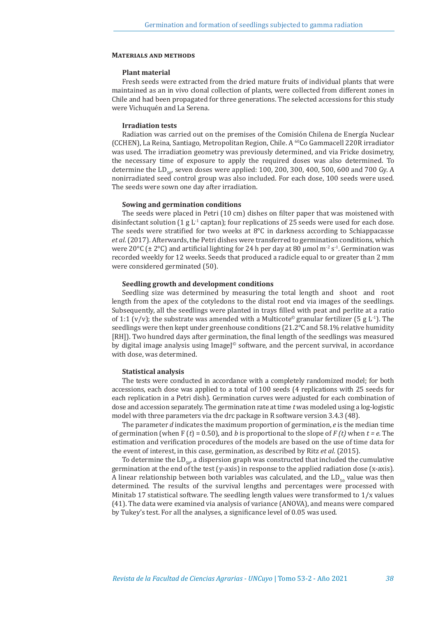# **Materials and methods**

### **Plant material**

Fresh seeds were extracted from the dried mature fruits of individual plants that were maintained as an in vivo clonal collection of plants, were collected from different zones in Chile and had been propagated for three generations. The selected accessions for this study were Vichuquén and La Serena.

# **Irradiation tests**

Radiation was carried out on the premises of the Comisión Chilena de Energía Nuclear (CCHEN), La Reina, Santiago, Metropolitan Region, Chile. A <sup>60</sup>Co Gammacell 220R irradiator was used. The irradiation geometry was previously determined, and via Fricke dosimetry, the necessary time of exposure to apply the required doses was also determined. To determine the LD<sub> $\epsilon_{0}$ </sub> seven doses were applied: 100, 200, 300, 400, 500, 600 and 700 Gy. A nonirradiated seed control group was also included. For each dose, 100 seeds were used. The seeds were sown one day after irradiation.

#### **Sowing and germination conditions**

The seeds were placed in Petri (10 cm) dishes on filter paper that was moistened with disinfectant solution (1 g  $L^1$  captan); four replications of 25 seeds were used for each dose. The seeds were stratified for two weeks at  $8^{\circ}$ C in darkness according to Schiappacasse *et al*. (2017). Afterwards, the Petri dishes were transferred to germination conditions, which were 20 $\degree$ C ( $\pm$  2 $\degree$ C) and artificial lighting for 24 h per day at 80 µmol m<sup>-2</sup> s<sup>-1</sup>. Germination was recorded weekly for 12 weeks. Seeds that produced a radicle equal to or greater than 2 mm were considered germinated (50).

# **Seedling growth and development conditions**

Seedling size was determined by measuring the total length and shoot and root length from the apex of the cotyledons to the distal root end via images of the seedlings. Subsequently, all the seedlings were planted in trays filled with peat and perlite at a ratio of 1:1 (v/v); the substrate was amended with a Multicote<sup>®</sup> granular fertilizer (5 g L<sup>-1</sup>). The seedlings were then kept under greenhouse conditions (21.2°C and 58.1% relative humidity [RH]). Two hundred days after germination, the final length of the seedlings was measured by digital image analysis using  $\text{Image}^{\odot}$  software, and the percent survival, in accordance with dose, was determined.

#### **Statistical analysis**

The tests were conducted in accordance with a completely randomized model; for both accessions, each dose was applied to a total of 100 seeds (4 replications with 25 seeds for each replication in a Petri dish). Germination curves were adjusted for each combination of dose and accession separately. The germination rate at time *t* was modeled using a log-logistic model with three parameters via the drc package in R software version 3.4.3 (48).

The parameter *d* indicates the maximum proportion of germination, *e* is the median time of germination (when F (*t*) = 0.50), and *b* is proportional to the slope of *F (t)* when *t = e.* The estimation and verification procedures of the models are based on the use of time data for the event of interest, in this case, germination, as described by Ritz *et al*. (2015).

To determine the LD<sub>50</sub>, a dispersion graph was constructed that included the cumulative germination at the end of the test (y-axis) in response to the applied radiation dose (x-axis). A linear relationship between both variables was calculated, and the  $LD_{50}$  value was then determined. The results of the survival lengths and percentages were processed with Minitab 17 statistical software. The seedling length values were transformed to 1/x values (41). The data were examined via analysis of variance (ANOVA), and means were compared by Tukey's test. For all the analyses, a significance level of 0.05 was used.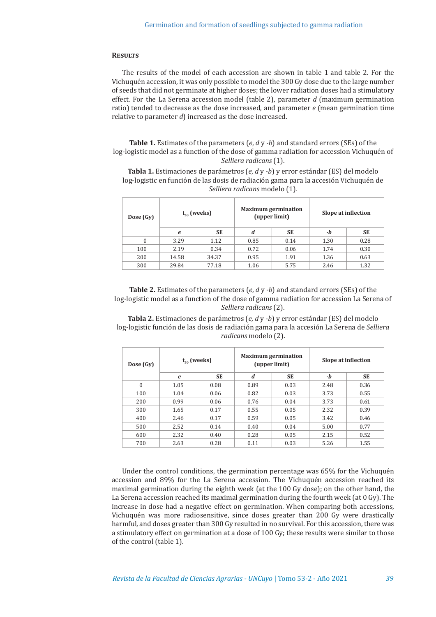#### **Results**

The results of the model of each accession are shown in table 1 and table 2. For the Vichuquén accession, it was only possible to model the 300 Gy dose due to the large number of seeds that did not germinate at higher doses; the lower radiation doses had a stimulatory effect. For the La Serena accession model (table 2), parameter *d* (maximum germination ratio) tended to decrease as the dose increased, and parameter *e* (mean germination time relative to parameter *d*) increased as the dose increased.

**Table 1.** Estimates of the parameters (*e*, *d* y *-b*) and standard errors (SEs) of the log-logistic model as a function of the dose of gamma radiation for accession Vichuquén of *Selliera radicans* (1).

**Tabla 1.** Estimaciones de parámetros (*e*, *d* y *-b*) y error estándar (ES) del modelo log-logistic en función de las dosis de radiación gama para la accesión Vichuquén de *Selliera radicans* modelo (1).

| Dose (Gy) | $t_{50}$ (weeks) |           | <b>Maximum germination</b><br>(upper limit) |           | Slope at inflection |           |
|-----------|------------------|-----------|---------------------------------------------|-----------|---------------------|-----------|
|           | e                | <b>SE</b> | d                                           | <b>SE</b> | -b                  | <b>SE</b> |
|           | 3.29             | 1.12      | 0.85                                        | 0.14      | 1.30                | 0.28      |
| 100       | 2.19             | 0.34      | 0.72                                        | 0.06      | 1.74                | 0.30      |
| 200       | 14.58            | 34.37     | 0.95                                        | 1.91      | 1.36                | 0.63      |
| 300       | 29.84            | 77.18     | 1.06                                        | 5.75      | 2.46                | 1.32      |

**Table 2.** Estimates of the parameters (*e*, *d* y *-b*) and standard errors (SEs) of the log-logistic model as a function of the dose of gamma radiation for accession La Serena of *Selliera radicans* (2).

**Tabla 2.** Estimaciones de parámetros (*e*, *d* y *-b*) y error estándar (ES) del modelo log-logistic función de las dosis de radiación gama para la accesión La Serena de *Selliera radicans* modelo (2).

| Dose (Gy) | $t_{\epsilon_0}$ (weeks) |           | <b>Maximum germination</b><br>(upper limit) |           | Slope at inflection |           |
|-----------|--------------------------|-----------|---------------------------------------------|-----------|---------------------|-----------|
|           | e                        | <b>SE</b> | d                                           | <b>SE</b> | -b                  | <b>SE</b> |
| $\theta$  | 1.05                     | 0.08      | 0.89                                        | 0.03      | 2.48                | 0.36      |
| 100       | 1.04                     | 0.06      | 0.82                                        | 0.03      | 3.73                | 0.55      |
| 200       | 0.99                     | 0.06      | 0.76                                        | 0.04      | 3.73                | 0.61      |
| 300       | 1.65                     | 0.17      | 0.55                                        | 0.05      | 2.32                | 0.39      |
| 400       | 2.46                     | 0.17      | 0.59                                        | 0.05      | 3.42                | 0.46      |
| 500       | 2.52                     | 0.14      | 0.40                                        | 0.04      | 5.00                | 0.77      |
| 600       | 2.32                     | 0.40      | 0.28                                        | 0.05      | 2.15                | 0.52      |
| 700       | 2.63                     | 0.28      | 0.11                                        | 0.03      | 5.26                | 1.55      |

Under the control conditions, the germination percentage was 65% for the Vichuquén accession and 89% for the La Serena accession. The Vichuquén accession reached its maximal germination during the eighth week (at the 100 Gy dose); on the other hand, the La Serena accession reached its maximal germination during the fourth week (at 0 Gy). The increase in dose had a negative effect on germination. When comparing both accessions, Vichuquén was more radiosensitive, since doses greater than 200 Gy were drastically harmful, and doses greater than 300 Gy resulted in no survival. For this accession, there was a stimulatory effect on germination at a dose of 100 Gy; these results were similar to those of the control (table 1).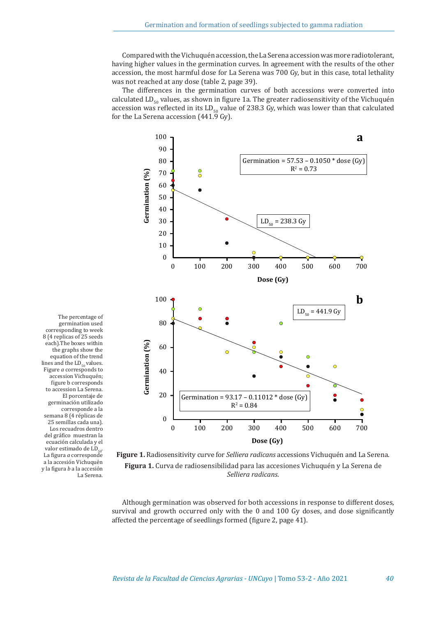Compared with the Vichuquén accession, the La Serena accession was more radiotolerant, having higher values in the germination curves. In agreement with the results of the other accession, the most harmful dose for La Serena was 700 Gy, but in this case, total lethality was not reached at any dose (table 2, page 39).

The differences in the germination curves of both accessions were converted into calculated  $LD_{50}$  values, as shown in figure 1a. The greater radiosensitivity of the Vichuquén accession was reflected in its  $LD_{50}$  value of 238.3 Gy, which was lower than that calculated for the La Serena accession (441.9 Gy).



each).The boxes within the graphs show the equation of the trend lines and the  $LD_{50}$  values. Figure *a* corresponds to accession Vichuquén; figure b corresponds to accession La Serena. El porcentaje de germinación utilizado corresponde a la semana 8 (4 réplicas de 25 semillas cada una). Los recuadros dentro del gráfico muestran la ecuación calculada y el valor estimado de LD. La figura *a* corresponde a la accesión Vichuquén y la figura *b* a la accesión La Serena.

germination used corresponding to week 8 (4 replicas of 25 seeds

**Figure 1.** Radiosensitivity curve for *Selliera radicans* accessions Vichuquén and La Serena. **Figura 1.** Curva de radiosensibilidad para las accesiones Vichuquén y La Serena de *Selliera radicans*.

Although germination was observed for both accessions in response to different doses, survival and growth occurred only with the 0 and 100 Gy doses, and dose significantly affected the percentage of seedlings formed (figure 2, page 41).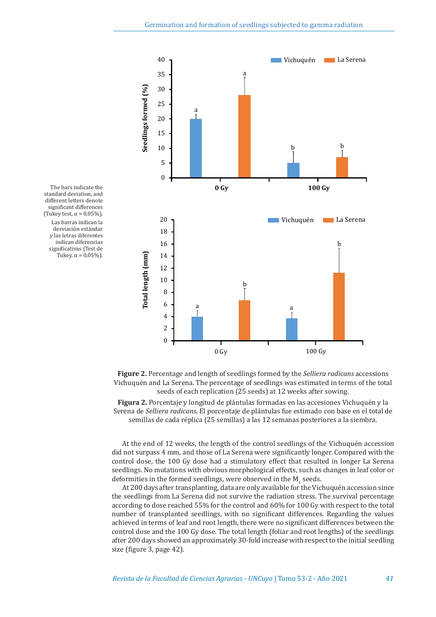

The bars indicate the standard deviation, and different letters denote significant differences (Tukey test,  $\alpha = 0.05\%$ ). Las barras indican la desviación estándar y las letras diferentes indican diferencias significativas (Test de Tukey,  $\alpha = 0.05\%$ ).

> **Figure 2.** Percentage and length of seedlings formed by the *Selliera radicans* accessions Vichuquén and La Serena. The percentage of seedlings was estimated in terms of the total seeds of each replication (25 seeds) at 12 weeks after sowing.

> **Figura 2.** Porcentaje y longitud de plántulas formadas en las accesiones Vichuquén y la Serena de *Selliera radicans.* El porcentaje de plántulas fue estimado con base en el total de semillas de cada réplica (25 semillas) a las 12 semanas posteriores a la siembra.

> At the end of 12 weeks, the length of the control seedlings of the Vichuquén accession did not surpass 4 mm, and those of La Serena were significantly longer. Compared with the control dose, the 100 Gy dose had a stimulatory effect that resulted in longer La Serena seedlings. No mutations with obvious morphological effects, such as changes in leaf color or deformities in the formed seedlings, were observed in the  $M_1$  seeds.

> At 200 days after transplanting, data are only available for the Vichuquén accession since the seedlings from La Serena did not survive the radiation stress. The survival percentage according to dose reached 55% for the control and 60% for 100 Gy with respect to the total number of transplanted seedlings, with no significant differences. Regarding the values achieved in terms of leaf and root length, there were no significant differences between the control dose and the 100 Gy dose. The total length (foliar and root lengths) of the seedlings after 200 days showed an approximately 30-fold increase with respect to the initial seedling size (figure 3, page 42).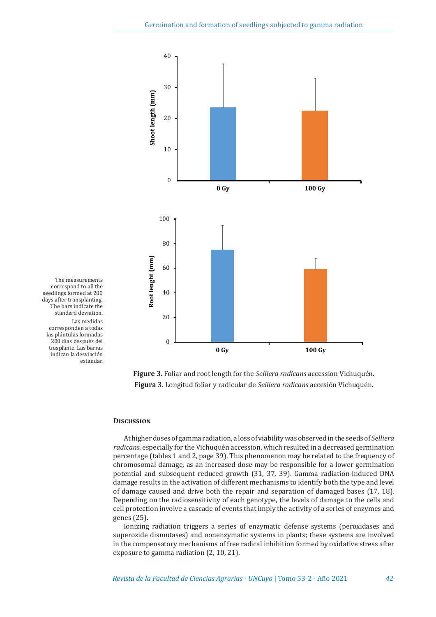

correspond to all the seedlings formed at 200 days after transplanting. The bars indicate the standard deviation. Las medidas corresponden a todas las plántulas formadas 200 días después del trasplante. Las barras indican la desviación estándar.

The measurements

**Figure 3.** Foliar and root length for the *Selliera radicans* accession Vichuquén. **Figura 3.** Longitud foliar y radicular de *Selliera radicans* accesión Vichuquén.

# **Discussion**

At higher doses of gamma radiation, a loss of viability was observed in the seeds of *Selliera radicans*, especially for the Vichuquén accession, which resulted in a decreased germination percentage (tables 1 and 2, page 39). This phenomenon may be related to the frequency of chromosomal damage, as an increased dose may be responsible for a lower germination potential and subsequent reduced growth (31, 37, 39). Gamma radiation-induced DNA damage results in the activation of different mechanisms to identify both the type and level of damage caused and drive both the repair and separation of damaged bases (17, 18). Depending on the radiosensitivity of each genotype, the levels of damage to the cells and cell protection involve a cascade of events that imply the activity of a series of enzymes and genes (25).

Ionizing radiation triggers a series of enzymatic defense systems (peroxidases and superoxide dismutases) and nonenzymatic systems in plants; these systems are involved in the compensatory mechanisms of free radical inhibition formed by oxidative stress after exposure to gamma radiation (2, 10, 21).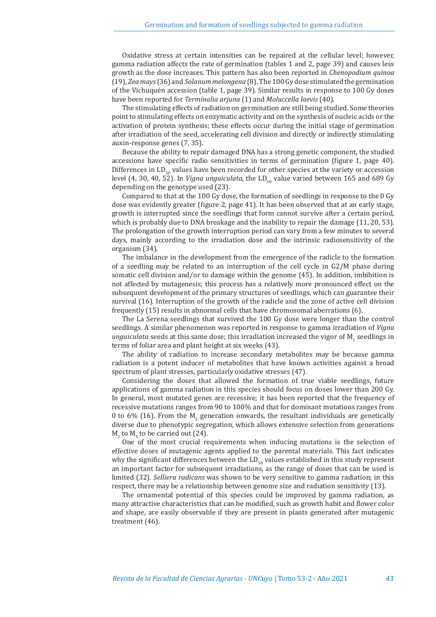Oxidative stress at certain intensities can be repaired at the cellular level; however, gamma radiation affects the rate of germination (tables 1 and 2, page 39) and causes less growth as the dose increases. This pattern has also been reported in *Chenopodium quinoa* (19), *Zea mays* (36) and *Solanum melongena* (8). The 100 Gy dose stimulated the germination of the Vichuquén accession (table 1, page 39). Similar results in response to 100 Gy doses have been reported for *Terminalia arjuna* (1) and *Moluccella laevis* (40).

The stimulating effects of radiation on germination are still being studied. Some theories point to stimulating effects on enzymatic activity and on the synthesis of nucleic acids or the activation of protein synthesis; these effects occur during the initial stage of germination after irradiation of the seed, accelerating cell division and directly or indirectly stimulating auxin-response genes (7, 35).

Because the ability to repair damaged DNA has a strong genetic component, the studied accessions have specific radio sensitivities in terms of germination (figure 1, page 40). Differences in  $LD_{50}$  values have been recorded for other species at the variety or accession level (4, 30, 40, 52). In *Vigna unguiculata*, the LD<sub>50</sub> value varied between 165 and 689 Gy depending on the genotype used (23).

Compared to that at the 100 Gy dose, the formation of seedlings in response to the 0 Gy dose was evidently greater (figure 2, page 41). It has been observed that at an early stage, growth is interrupted since the seedlings that form cannot survive after a certain period, which is probably due to DNA breakage and the inability to repair the damage (11, 20, 53). The prolongation of the growth interruption period can vary from a few minutes to several days, mainly according to the irradiation dose and the intrinsic radiosensitivity of the organism (34).

The imbalance in the development from the emergence of the radicle to the formation of a seedling may be related to an interruption of the cell cycle in G2/M phase during somatic cell division and/or to damage within the genome (45). In addition, imbibition is not affected by mutagenesis; this process has a relatively more pronounced effect on the subsequent development of the primary structures of seedlings, which can guarantee their survival (16). Interruption of the growth of the radicle and the zone of active cell division frequently (15) results in abnormal cells that have chromosomal aberrations (6).

The La Serena seedlings that survived the 100 Gy dose were longer than the control seedlings. A similar phenomenon was reported in response to gamma irradiation of *Vigna unguiculata* seeds at this same dose; this irradiation increased the vigor of  $M<sub>1</sub>$  seedlings in terms of foliar area and plant height at six weeks (43).

The ability of radiation to increase secondary metabolites may be because gamma radiation is a potent inducer of metabolites that have known activities against a broad spectrum of plant stresses, particularly oxidative stresses (47).

Considering the doses that allowed the formation of true viable seedlings, future applications of gamma radiation in this species should focus on doses lower than 200 Gy. In general, most mutated genes are recessive; it has been reported that the frequency of recessive mutations ranges from 90 to 100% and that for dominant mutations ranges from 0 to 6% (16). From the  $M_2$  generation onwards, the resultant individuals are genetically diverse due to phenotypic segregation, which allows extensive selection from generations  $M_2$  to  $M_5$  to be carried out (24).

One of the most crucial requirements when inducing mutations is the selection of effective doses of mutagenic agents applied to the parental materials. This fact indicates why the significant differences between the  $LD_{50}$  values established in this study represent an important factor for subsequent irradiations, as the range of doses that can be used is limited (32). *Selliera radicans* was shown to be very sensitive to gamma radiation; in this respect, there may be a relationship between genome size and radiation sensitivity (13).

The ornamental potential of this species could be improved by gamma radiation, as many attractive characteristics that can be modified, such as growth habit and flower color and shape, are easily observable if they are present in plants generated after mutagenic treatment (46).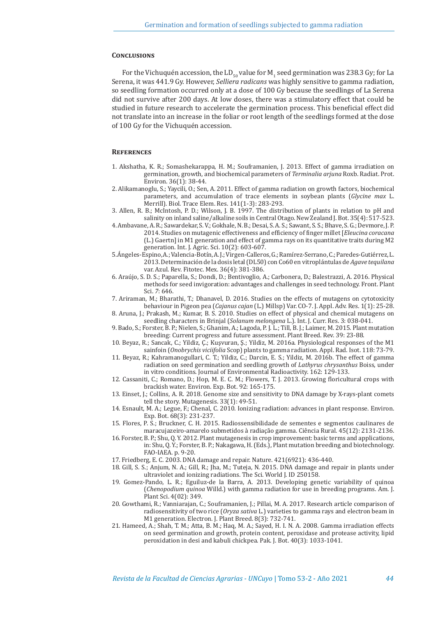## **Conclusions**

For the Vichuquén accession, the  $LD_{50}$  value for M<sub>1</sub> seed germination was 238.3 Gy; for La Serena, it was 441.9 Gy. However, *Selliera radicans* was highly sensitive to gamma radiation, so seedling formation occurred only at a dose of 100 Gy because the seedlings of La Serena did not survive after 200 days. At low doses, there was a stimulatory effect that could be studied in future research to accelerate the germination process. This beneficial effect did not translate into an increase in the foliar or root length of the seedlings formed at the dose of 100 Gy for the Vichuquén accession.

## **References**

- 1. Akshatha, K. R.; Somashekarappa, H. M.; Souframanien, J. 2013. Effect of gamma irradiation on germination, growth, and biochemical parameters of *Terminalia arjuna* Roxb. Radiat. Prot. Environ. 36(1): 38-44.
- 2. Alikamanoglu, S.; Yaycili, O.; Sen, A. 2011. Effect of gamma radiation on growth factors, biochemical parameters, and accumulation of trace elements in soybean plants (*Glycine max* L. Merrill). Biol. Trace Elem. Res. 141(1-3): 283-293.
- 3. Allen, R. B.; McIntosh, P. D.; Wilson, J. B. 1997. The distribution of plants in relation to pH and salinity on inland saline/alkaline soils in Central Otago. New Zealand J. Bot. 35(4): 517-523.
- 4. Ambavane, A. R.; Sawardekar, S. V.; Gokhale, N. B.; Desai, S. A. S.; Sawant, S. S.; Bhave, S. G.; Devmore, J. P. 2014. Studies on mutagenic effectiveness and efficiency of finger millet [*Eleucina coracana* (L.) Gaertn] in M1 generation and effect of gamma rays on its quantitative traits during M2 generation. Int. J. Agric. Sci. 10(2): 603-607.
- 5. Ángeles-Espino, A.; Valencia-Botín, A. J.; Virgen-Calleros, G.; Ramírez-Serrano, C.; Paredes-Gutiérrez, L. 2013.Determinación de la dosis letal(DL50) con Co60 en vitroplántulas de *Agave tequilana* var. Azul. Rev. Fitotec. Mex. 36(4): 381-386.
- 6. Araújo, S. D. S.; Paparella, S.; Dondi, D.; Bentivoglio, A.; Carbonera, D.; Balestrazzi, A. 2016. Physical methods for seed invigoration: advantages and challenges in seed technology. Front. Plant Sci. *7*: 646.
- 7. Ariraman, M.; Bharathi, T.; Dhanavel, D. 2016. Studies on the effects of mutagens on cytotoxicity behaviour in Pigeon pea (*Cajanus cajan* (L.) Millsp) Var. CO-7. J. Appl. Adv. Res. 1(1): 25-28.
- 8. Aruna, J.; Prakash, M.; Kumar, B. S. 2010. Studies on effect of physical and chemical mutagens on seedling characters in Brinjal (*Solanum melongena* L.). Int. J. Curr. Res. 3: 038-041.
- 9. Bado, S.; Forster, B. P.; Nielen, S.; Ghanim, A.; Lagoda, P. J. L.; Till, B. J.; Laimer, M. 2015. Plant mutation breeding: Current progress and future assessment. Plant Breed. Rev. 39: 23-88.
- 10. Beyaz, R.; Sancak, C.; Yildiz, Ç.; Kuşvuran, Ş.; Yildiz, M. 2016a. Physiological responses of the M1 sainfoin (*Onobrychis viciifolia* Scop) plants to gamma radiation. Appl. Rad. Isot. 118: 73-79.
- 11. Beyaz, R.; Kahramanogullari, C. T.; Yildiz, C.; Darcin, E. S.; Yildiz, M. 2016b. The effect of gamma radiation on seed germination and seedling growth of *Lathyrus chrysanthus* Boiss, under in vitro conditions. Journal of Environmental Radioactivity. 162: 129-133.
- 12. Cassaniti, C.; Romano, D.; Hop, M. E. C. M.; Flowers, T. J. 2013. Growing floricultural crops with brackish water. Environ. Exp. Bot. 92: 165-175.
- 13. Einset, J.; Collins, A. R. 2018. Genome size and sensitivity to DNA damage by X-rays-plant comets tell the story. Mutagenesis. 33(1): 49-51.
- 14. Esnault, M. A.; Legue, F.; Chenal, C. 2010. Ionizing radiation: advances in plant response. Environ. Exp. Bot. 68(3): 231-237.
- 15. Flores, P. S.; Bruckner, C. H. 2015. Radiossensibilidade de sementes e segmentos caulinares de maracujazeiro-amarelo submetidos à radiação gamma. Ciência Rural. 45(12): 2131-2136.
- 16. Forster, B. P.; Shu, Q. Y. 2012. Plant mutagenesis in crop improvement: basic terms and applications, in: Shu, Q. Y.; Forster, B. P.; Nakagawa, H. (Eds.), Plant mutation breeding and biotechnology. FAO-IAEA. p. 9-20.
- 17. Friedberg, E. C. 2003. DNA damage and repair. Nature. 421(6921): 436-440.
- 18. Gill, S. S.; Anjum, N. A.; Gill, R.; Jha, M.; Tuteja, N. 2015. DNA damage and repair in plants under ultraviolet and ionizing radiations. The Sci. World J. ID 250158.
- 19. Gomez-Pando, L. R.; Eguiluz-de la Barra, A. 2013. Developing genetic variability of quinoa (*Chenopodium quinoa* Willd.) with gamma radiation for use in breeding programs. Am. J. Plant Sci. 4(02): 349.
- 20. Gowthami, R.; Vanniarajan, C.; Souframanien, J.; Pillai, M. A. 2017. Research article comparison of radiosensitivity of two rice (*Oryza sativa* L.) varieties to gamma rays and electron beam in M1 generation. Electron. J. Plant Breed. 8(3): 732-741.
- 21. Hameed, A.; Shah, T. M.; Atta, B. M.; Haq, M. A.; Sayed, H. I. N. A. 2008. Gamma irradiation effects on seed germination and growth, protein content, peroxidase and protease activity, lipid peroxidation in desi and kabuli chickpea. Pak. J. Bot. 40(3): 1033-1041.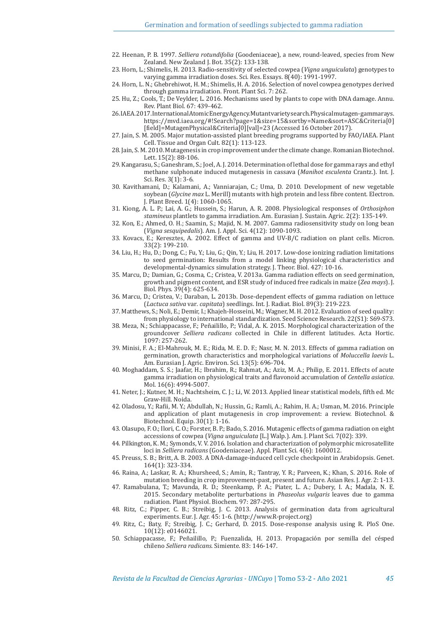- 22. Heenan, P. B. 1997. *Selliera rotundifolia* (Goodeniaceae), a new, round-leaved, species from New Zealand. New Zealand J. Bot. 35(2): 133-138.
- 23. Horn, L.; Shimelis, H. 2013. Radio-sensitivity of selected cowpea (*Vigna unguiculata*) genotypes to varying gamma irradiation doses. Sci. Res. Essays. 8(40): 1991-1997.
- 24. Horn, L. N.; Ghebrehiwot, H. M.; Shimelis, H. A. 2016. Selection of novel cowpea genotypes derived through gamma irradiation. Front. Plant Sci. 7: 262.
- 25. Hu, Z.; Cools, T.; De Veylder, L. 2016. Mechanisms used by plants to cope with DNA damage. Annu. Rev. Plant Biol. 67: 439-462.
- 26. IAEA. 2017. International Atomic Energy Agency. Mutant variety search. Physical mutagen- gamma rays. https://mvd.iaea.org/#!Search?page=1&size=15&sortby=Name&sort=ASC&Criteria[0] [field]=MutagenPhysical&Criteria[0][val]=23 (Accessed 16 October 2017).
- 27. Jain, S. M. 2005. Major mutation-assisted plant breeding programs supported by FAO/IAEA. Plant Cell. Tissue and Organ Cult. 82(1): 113-123.
- 28. Jain, S. M. 2010. Mutagenesis in crop improvement under the climate change. Romanian Biotechnol. Lett. 15(2): 88-106.
- 29. Kangarasu, S.; Ganeshram, S.; Joel, A. J. 2014. Determination of lethal dose for gamma rays and ethyl methane sulphonate induced mutagenesis in cassava (*Manihot esculenta* Crantz.). Int. J. Sci. Res. 3(1): 3-6.
- 30. Kavithamani, D.; Kalamani, A.; Vanniarajan, C.; Uma, D. 2010. Development of new vegetable soybean (*Glycine max* L. Merill) mutants with high protein and less fibre content. Electron. J. Plant Breed. 1(4): 1060-1065.
- 31. Kiong, A. L. P.; Lai, A. G.; Hussein, S.; Harun, A. R. 2008. Physiological responses of *Orthosiphon stamineus* plantlets to gamma irradiation. Am. Eurasian J. Sustain. Agric. 2(2): 135-149.
- 32. Kon, E.; Ahmed, O. H.; Saamin, S.; Majid, N. M. 2007. Gamma radiosensitivity study on long bean (*Vigna sesquipedalis*). Am. J. Appl. Sci. 4(12): 1090-1093.
- 33. Kovacs, E.; Keresztes, A. 2002. Effect of gamma and UV-B/C radiation on plant cells. Micron. 33(2): 199-210.
- 34. Liu, H.; Hu, D.; Dong, C.; Fu, Y.; Liu, G.; Qin, Y.; Liu, H. 2017. Low-dose ionizing radiation limitations to seed germination: Results from a model linking physiological characteristics and developmental-dynamics simulation strategy. J. Theor. Biol. 427: 10-16.
- 35. Marcu, D.; Damian, G.; Cosma, C.; Cristea, V. 2013a. Gamma radiation effects on seed germination, growth and pigment content, and ESR study of induced free radicals in maize (*Zea mays*). J. Biol. Phys. 39(4): 625-634.
- 36. Marcu, D.; Cristea, V.; Daraban, L. 2013b. Dose-dependent effects of gamma radiation on lettuce (*Lactuca sativa* var*. capitata*) seedlings. Int. J. Radiat. Biol. 89(3): 219-223.
- 37. Matthews, S.; Noli, E.; Demir, I.; Khajeh-Hosseini, M.; Wagner, M. H. 2012. Evaluation of seed quality: from physiology to international standardization. Seed Science Research. 22(S1): S69-S73.
- 38. Meza, N.; Schiappacasse, F.; Peñailillo, P.; Vidal, A. K. 2015. Morphological characterization of the groundcover *Selliera radicans* collected in Chile in different latitudes. Acta Hortic. 1097: 257-262.
- 39. Minisi, F. A.; El-Mahrouk, M. E.; Rida, M. E. D. F.; Nasr, M. N. 2013. Effects of gamma radiation on germination, growth characteristics and morphological variations of *Moluccella laevis* L. Am. Eurasian J. Agric. Environ. Sci. 13(5): 696-704.
- 40. Moghaddam, S. S.; Jaafar, H.; Ibrahim, R.; Rahmat, A.; Aziz, M. A.; Philip, E. 2011. Effects of acute gamma irradiation on physiological traits and flavonoid accumulation of *Centella asiatica*. Mol. 16(6): 4994-5007.
- 41. Neter, J.; Kutner, M. H.; Nachtsheim, C. J.; Li, W. 2013. Applied linear statistical models, fifth ed. Mc Graw-Hill. Noida.
- 42. Oladosu, Y.; Rafii, M. Y.; Abdullah, N.; Hussin, G.; Ramli, A.; Rahim, H. A.; Usman, M. 2016. Principle and application of plant mutagenesis in crop improvement: a review. Biotechnol. & Biotechnol. Equip. 30(1): 1-16.
- 43. Olasupo, F. O.; Ilori, C. O.; Forster, B. P.; Bado, S. 2016. Mutagenic effects of gamma radiation on eight accessions of cowpea (*Vigna unguiculata* [L.] Walp.). Am. J. Plant Sci. 7(02): 339.
- 44. Pilkington, K. M.; Symonds, V. V. 2016. Isolation and characterization of polymorphic microsatellite loci in *Selliera radicans* (Goodeniaceae). Appl. Plant Sci. 4(6): 1600012.
- 45. Preuss, S. B.; Britt, A. B. 2003. A DNA-damage-induced cell cycle checkpoint in Arabidopsis. Genet. 164(1): 323-334.
- 46. Raina, A.; Laskar, R. A.; Khursheed, S.; Amin, R.; Tantray, Y. R.; Parveen, K.; Khan, S. 2016. Role of mutation breeding in crop improvement-past, present and future. Asian Res. J. Agr. 2: 1-13.
- 47. Ramabulana, T.; Mavunda, R. D.; Steenkamp, P. A.; Piater, L. A.; Dubery, I. A.; Madala, N. E. 2015. Secondary metabolite perturbations in *Phaseolus vulgaris* leaves due to gamma radiation. Plant Physiol. Biochem. 97: 287-295.
- 48. Ritz, C.; Pipper, C. B.; Streibig, J. C. 2013. Analysis of germination data from agricultural experiments. Eur. J. Agr. 45: 1-6. (http://www.R-project.org)
- 49. Ritz, C.; Baty, F.; Streibig, J. C.; Gerhard, D. 2015. Dose-response analysis using R. PloS One. 10(12): e0146021.
- 50. Schiappacasse, F.; Peñailillo, P.; Fuenzalida, H. 2013. Propagación por semilla del césped chileno *Selliera radicans*. Simiente. 83: 146-147.